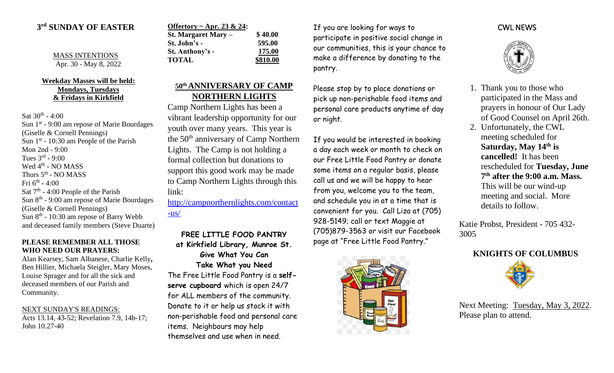## **3 rd SUNDAY OF EASTER**

MASS INTENTIONS Apr. 30 - May 8, 2022

#### **Weekday Masses will be held: Mondays, Tuesdays & Fridays in Kirkfield**

Sat  $30^{\text{th}}$  - 4:00 Sun 1<sup>st</sup> - 9:00 am repose of Marie Bourdages (Giselle & Cornell Pennings) Sun  $1<sup>st</sup>$  - 10:30 am People of the Parish Mon 2nd - 9:00 Tues  $3^{rd}$  - 9:00 Wed 4<sup>th</sup> - NO MASS Thurs  $5^{\text{th}}$  - NO MASS Fri 6<sup>th</sup> - 4:00 Sat 7<sup>th</sup> - 4:00 People of the Parish Sun 8<sup>th</sup> - 9:00 am repose of Marie Bourdages (Giselle & Cornell Pennings) Sun 8<sup>th</sup> - 10:30 am repose of Barry Webb and deceased family members (Steve Duarte)

### **PLEASE REMEMBER ALL THOSE WHO NEED OUR PRAYERS:**

Alan Kearsey, Sam Albanese, Charlie Kelly**,**  Ben Hillier, Michaela Steigler, Mary Moses, Louise Sprager and for all the sick and deceased members of our Parish and Community.

#### NEXT SUNDAY'S READINGS:

Acts 13.14, 43-52; Revelation 7.9, 14b-17; John 10.27-40

| Offertory ~ Apr. 23 & 24: |          |
|---------------------------|----------|
| St. Margaret Mary –       | \$40.00  |
| St. John's -              | 595.00   |
| St. Anthony's -           | 175.00   |
| <b>TOTAL</b>              | \$810.00 |

# **50th ANNIVERSARY OF CAMP NORTHERN LIGHTS**

Camp Northern Lights has been a vibrant leadership opportunity for our youth over many years. This year is the 50<sup>th</sup> anniversary of Camp Northern Lights. The Camp is not holding a formal collection but donations to support this good work may be made to Camp Northern Lights through this link:

[http://campnorthernlights.com/contact](http://campnorthernlights.com/contact-us/)  $-$ us $/$ 

**FREE LITTLE FOOD PANTRY at Kirkfield Library, Munroe St. Give What You Can Take What you Need** The Free Little Food Pantry is a **selfserve cupboard** which is open 24/7 for ALL members of the community. Donate to it or help us stock it with non-perishable food and personal care items. Neighbours may help themselves and use when in need.

If you are looking for ways to participate in positive social change in our communities, this is your chance to make a difference by donating to the pantry.

Please stop by to place donations or pick up non-perishable food items and personal care products anytime of day or night.

If you would be interested in booking a day each week or month to check on our Free Little Food Pantry or donate some items on a regular basis, please call us and we will be happy to hear from you, welcome you to the team, and schedule you in at a time that is convenient for you. Call Liza at (705) 928-5149; call or text Maggie at (705)879-3563 or visit our Facebook page at "Free Little Food Pantry."



## CWL NEWS



- 1. Thank you to those who participated in the Mass and prayers in honour of Our Lady of Good Counsel on April 26th.
- 2. Unfortunately, the CWL meeting scheduled for **Saturday, May 14th is cancelled!** It has been rescheduled for **Tuesday, June 7 th after the 9:00 a.m. Mass.** This will be our wind-up meeting and social. More details to follow.

Katie Probst, President - 705 432- 3005





Next Meeting: Tuesday, May 3, 2022. Please plan to attend.